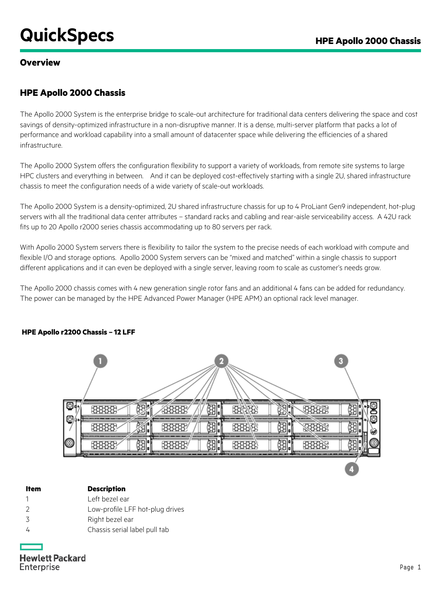# **QuickSpecs** *Apple 2000 Chassis*

## **Overview**

# **HPE Apollo 2000 Chassis**

The Apollo 2000 System is the enterprise bridge to scale-out architecture for traditional data centers delivering the space and cost savings of density-optimized infrastructure in a non-disruptive manner. It is a dense, multi-server platform that packs a lot of performance and workload capability into a small amount of datacenter space while delivering the efficiencies of a shared infrastructure.

The Apollo 2000 System offers the configuration flexibility to support a variety of workloads, from remote site systems to large HPC clusters and everything in between. And it can be deployed cost-effectively starting with a single 2U, shared infrastructure chassis to meet the configuration needs of a wide variety of scale-out workloads.

The Apollo 2000 System is a density-optimized, 2U shared infrastructure chassis for up to 4 ProLiant Gen9 independent, hot-plug servers with all the traditional data center attributes – standard racks and cabling and rear-aisle serviceability access. A 42U rack fits up to 20 Apollo r2000 series chassis accommodating up to 80 servers per rack.

With Apollo 2000 System servers there is flexibility to tailor the system to the precise needs of each workload with compute and flexible I/O and storage options. Apollo 2000 System servers can be "mixed and matched" within a single chassis to support different applications and it can even be deployed with a single server, leaving room to scale as customer's needs grow.

The Apollo 2000 chassis comes with 4 new generation single rotor fans and an additional 4 fans can be added for redundancy. The power can be managed by the HPE Advanced Power Manager (HPE APM) an optional rack level manager.



## **HPE Apollo r2200 Chassis – 12 LFF**

| ltem | <b>Description</b>              |
|------|---------------------------------|
|      | Left bezel ear                  |
| - 2  | Low-profile LFF hot-plug drives |

- 3 Right bezel ear
- 4 Chassis serial label pull tab

**Hewlett Packard** Enterprise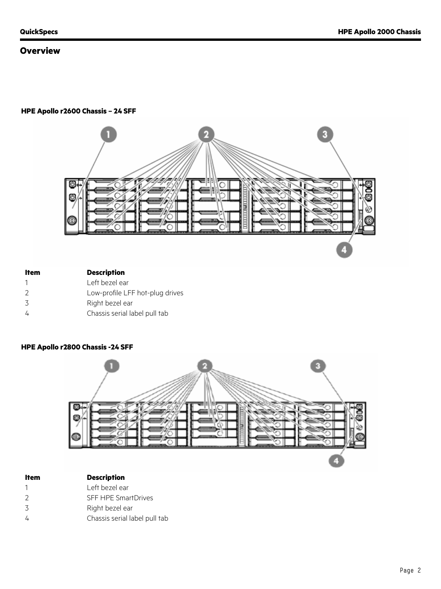## **Overview**

#### **HPE Apollo r2600 Chassis – 24 SFF**



| Item          | <b>Description</b>              |
|---------------|---------------------------------|
|               | Left bezel ear                  |
| $\mathcal{L}$ | Low-profile LFF hot-plug drives |
| 3             | Right bezel ear                 |
|               | Chassis serial label pull tab   |
|               |                                 |

#### **HPE Apollo r2800 Chassis -24 SFF**



| ltem | <b>Description</b> |
|------|--------------------|
|      |                    |

- 1 Left bezel ear
- 2 SFF HPE SmartDrives 3 Right bezel ear
- 
- 4 Chassis serial label pull tab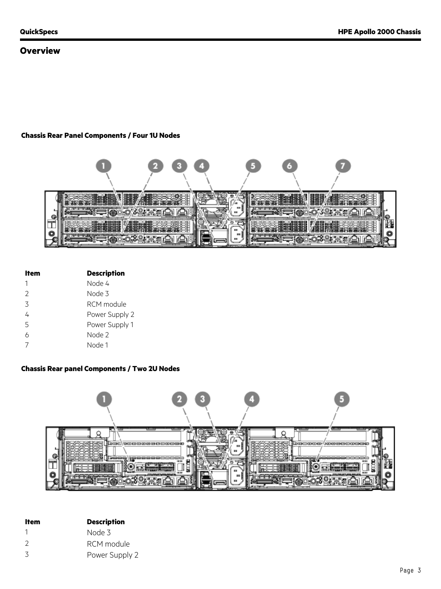## **Overview**

### **Chassis Rear Panel Components / Four 1U Nodes**



| ltem          | <b>Description</b> |
|---------------|--------------------|
|               | Node 4             |
| $\mathcal{P}$ | Node 3             |
| 3             | RCM module         |
| 4             | Power Supply 2     |
| 5             | Power Supply 1     |
| 6             | Node 2             |
|               | Node 1             |

## **Chassis Rear panel Components / Two 2U Nodes**



| ltem          | <b>Description</b> |
|---------------|--------------------|
|               | Node 3             |
| $\mathcal{L}$ | RCM module         |
| 3             | Power Supply 2     |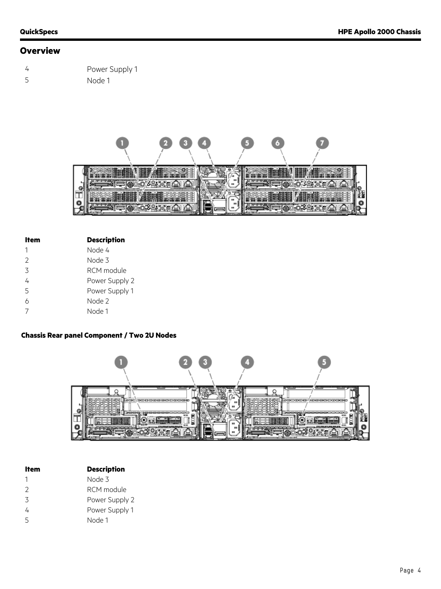# **Overview**

| $\overline{4}$ | Power Supply 1 |
|----------------|----------------|
| -5             | Node 1         |



| ltem          | <b>Description</b> |
|---------------|--------------------|
| 1             | Node 4             |
| $\mathcal{P}$ | Node 3             |
| 3             | RCM module         |
| 4             | Power Supply 2     |
| 5             | Power Supply 1     |
| h             | Node 2             |
|               | Node 1             |

#### **Chassis Rear panel Component / Two 2U Nodes**



| ltem          | <b>Description</b> |
|---------------|--------------------|
| 1             | Node 3             |
| $\mathcal{P}$ | RCM module         |
| 3             | Power Supply 2     |
| 4             | Power Supply 1     |
| 5             | Node 1             |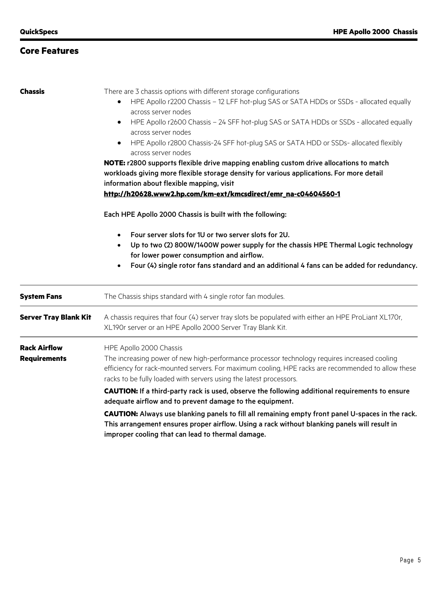# **Core Features**

| <b>Chassis</b>                             | There are 3 chassis options with different storage configurations<br>HPE Apollo r2200 Chassis - 12 LFF hot-plug SAS or SATA HDDs or SSDs - allocated equally<br>across server nodes<br>HPE Apollo r2600 Chassis - 24 SFF hot-plug SAS or SATA HDDs or SSDs - allocated equally<br>$\bullet$<br>across server nodes<br>HPE Apollo r2800 Chassis-24 SFF hot-plug SAS or SATA HDD or SSDs- allocated flexibly<br>$\bullet$<br>across server nodes<br>NOTE: r2800 supports flexible drive mapping enabling custom drive allocations to match                                                                                                                                |  |  |
|--------------------------------------------|-------------------------------------------------------------------------------------------------------------------------------------------------------------------------------------------------------------------------------------------------------------------------------------------------------------------------------------------------------------------------------------------------------------------------------------------------------------------------------------------------------------------------------------------------------------------------------------------------------------------------------------------------------------------------|--|--|
|                                            | workloads giving more flexible storage density for various applications. For more detail<br>information about flexible mapping, visit<br>http://h20628.www2.hp.com/km-ext/kmcsdirect/emr_na-c04604560-1<br>Each HPE Apollo 2000 Chassis is built with the following:                                                                                                                                                                                                                                                                                                                                                                                                    |  |  |
|                                            |                                                                                                                                                                                                                                                                                                                                                                                                                                                                                                                                                                                                                                                                         |  |  |
|                                            | Four server slots for 1U or two server slots for 2U.<br>$\bullet$<br>Up to two (2) 800W/1400W power supply for the chassis HPE Thermal Logic technology<br>$\bullet$<br>for lower power consumption and airflow.<br>Four (4) single rotor fans standard and an additional 4 fans can be added for redundancy.<br>$\bullet$                                                                                                                                                                                                                                                                                                                                              |  |  |
| <b>System Fans</b>                         | The Chassis ships standard with 4 single rotor fan modules.                                                                                                                                                                                                                                                                                                                                                                                                                                                                                                                                                                                                             |  |  |
| <b>Server Tray Blank Kit</b>               | A chassis requires that four (4) server tray slots be populated with either an HPE ProLiant XL170r,<br>XL190r server or an HPE Apollo 2000 Server Tray Blank Kit.                                                                                                                                                                                                                                                                                                                                                                                                                                                                                                       |  |  |
| <b>Rack Airflow</b><br><b>Requirements</b> | HPE Apollo 2000 Chassis<br>The increasing power of new high-performance processor technology requires increased cooling<br>efficiency for rack-mounted servers. For maximum cooling, HPE racks are recommended to allow these<br>racks to be fully loaded with servers using the latest processors.<br>CAUTION: If a third-party rack is used, observe the following additional requirements to ensure<br>adequate airflow and to prevent damage to the equipment.<br>CAUTION: Always use blanking panels to fill all remaining empty front panel U-spaces in the rack.<br>This arrangement ensures proper airflow. Using a rack without blanking panels will result in |  |  |

improper cooling that can lead to thermal damage.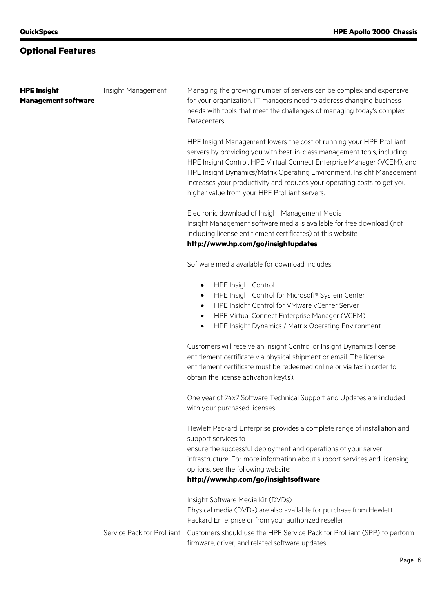# **Optional Features**

| <b>HPE Insight</b>         | Insight Management        | Managing the growing number of servers can be complex and expensive                                                                                                                                                                                                                                                                                                                                                                                      |
|----------------------------|---------------------------|----------------------------------------------------------------------------------------------------------------------------------------------------------------------------------------------------------------------------------------------------------------------------------------------------------------------------------------------------------------------------------------------------------------------------------------------------------|
| <b>Management software</b> |                           | for your organization. IT managers need to address changing business<br>needs with tools that meet the challenges of managing today's complex<br>Datacenters.                                                                                                                                                                                                                                                                                            |
|                            |                           | HPE Insight Management lowers the cost of running your HPE ProLiant<br>servers by providing you with best-in-class management tools, including<br>HPE Insight Control, HPE Virtual Connect Enterprise Manager (VCEM), and<br>HPE Insight Dynamics/Matrix Operating Environment. Insight Management<br>increases your productivity and reduces your operating costs to get you<br>higher value from your HPE ProLiant servers.                            |
|                            |                           | Electronic download of Insight Management Media<br>Insight Management software media is available for free download (not<br>including license entitlement certificates) at this website:<br>http://www.hp.com/go/insightupdates.                                                                                                                                                                                                                         |
|                            |                           |                                                                                                                                                                                                                                                                                                                                                                                                                                                          |
|                            |                           | Software media available for download includes:                                                                                                                                                                                                                                                                                                                                                                                                          |
|                            |                           | <b>HPE Insight Control</b><br>$\bullet$<br>HPE Insight Control for Microsoft® System Center<br>$\bullet$<br>HPE Insight Control for VMware vCenter Server<br>$\bullet$<br>HPE Virtual Connect Enterprise Manager (VCEM)<br>$\bullet$<br>HPE Insight Dynamics / Matrix Operating Environment<br>$\bullet$<br>Customers will receive an Insight Control or Insight Dynamics license<br>entitlement certificate via physical shipment or email. The license |
|                            |                           | entitlement certificate must be redeemed online or via fax in order to<br>obtain the license activation key(s).                                                                                                                                                                                                                                                                                                                                          |
|                            |                           | One year of 24x7 Software Technical Support and Updates are included<br>with your purchased licenses.                                                                                                                                                                                                                                                                                                                                                    |
|                            |                           | Hewlett Packard Enterprise provides a complete range of installation and<br>support services to                                                                                                                                                                                                                                                                                                                                                          |
|                            |                           | ensure the successful deployment and operations of your server<br>infrastructure. For more information about support services and licensing<br>options, see the following website:                                                                                                                                                                                                                                                                       |
|                            |                           | http://www.hp.com/go/insightsoftware                                                                                                                                                                                                                                                                                                                                                                                                                     |
|                            |                           | Insight Software Media Kit (DVDs)                                                                                                                                                                                                                                                                                                                                                                                                                        |
|                            |                           | Physical media (DVDs) are also available for purchase from Hewlett<br>Packard Enterprise or from your authorized reseller                                                                                                                                                                                                                                                                                                                                |
|                            | Service Pack for ProLiant | Customers should use the HPE Service Pack for ProLiant (SPP) to perform<br>firmware, driver, and related software updates.                                                                                                                                                                                                                                                                                                                               |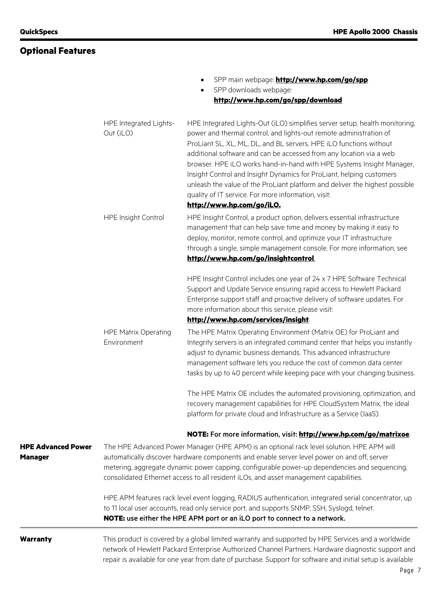|                                             |                                            | SPP main webpage: <b>http://www.hp.com/go/spp</b><br>SPP downloads webpage:                                                                                                                                                                                                                                                                                                                                                                                                                                                                                                                                        |
|---------------------------------------------|--------------------------------------------|--------------------------------------------------------------------------------------------------------------------------------------------------------------------------------------------------------------------------------------------------------------------------------------------------------------------------------------------------------------------------------------------------------------------------------------------------------------------------------------------------------------------------------------------------------------------------------------------------------------------|
|                                             |                                            | http://www.hp.com/go/spp/download                                                                                                                                                                                                                                                                                                                                                                                                                                                                                                                                                                                  |
|                                             | HPE Integrated Lights-<br>Out (iLO)        | HPE Integrated Lights-Out (iLO) simplifies server setup, health monitoring,<br>power and thermal control, and lights-out remote administration of<br>ProLiant SL, XL, ML, DL, and BL servers. HPE iLO functions without<br>additional software and can be accessed from any location via a web<br>browser. HPE iLO works hand-in-hand with HPE Systems Insight Manager,<br>Insight Control and Insight Dynamics for ProLiant, helping customers<br>unleash the value of the ProLiant platform and deliver the highest possible<br>quality of IT service. For more information, visit:<br>http://www.hp.com/go/iLO. |
|                                             | HPE Insight Control                        | HPE Insight Control, a product option, delivers essential infrastructure<br>management that can help save time and money by making it easy to<br>deploy, monitor, remote control, and optimize your IT infrastructure<br>through a single, simple management console. For more information, see<br>http://www.hp.com/go/insightcontrol.                                                                                                                                                                                                                                                                            |
|                                             |                                            | HPE Insight Control includes one year of 24 x 7 HPE Software Technical<br>Support and Update Service ensuring rapid access to Hewlett Packard<br>Enterprise support staff and proactive delivery of software updates. For<br>more information about this service, please visit:<br>http://www.hp.com/services/insight                                                                                                                                                                                                                                                                                              |
|                                             | <b>HPE Matrix Operating</b><br>Environment | The HPE Matrix Operating Environment (Matrix OE) for ProLiant and<br>Integrity servers is an integrated command center that helps you instantly<br>adjust to dynamic business demands. This advanced infrastructure<br>management software lets you reduce the cost of common data center<br>tasks by up to 40 percent while keeping pace with your changing business.                                                                                                                                                                                                                                             |
|                                             |                                            | The HPE Matrix OE includes the automated provisioning, optimization, and<br>recovery management capabilities for HPE CloudSystem Matrix, the ideal<br>platform for private cloud and Infrastructure as a Service (laaS).                                                                                                                                                                                                                                                                                                                                                                                           |
|                                             |                                            | NOTE: For more information, visit: http://www.hp.com/go/matrixoe.                                                                                                                                                                                                                                                                                                                                                                                                                                                                                                                                                  |
| <b>HPE Advanced Power</b><br><b>Manager</b> |                                            | The HPE Advanced Power Manager (HPE APM) is an optional rack level solution. HPE APM will<br>automatically discover hardware components and enable server level power on and off, server<br>metering, aggregate dynamic power capping, configurable power-up dependencies and sequencing,<br>consolidated Ethernet access to all resident iLOs, and asset management capabilities.                                                                                                                                                                                                                                 |
|                                             |                                            | HPE APM features rack level event logging, RADIUS authentication, integrated serial concentrator, up<br>to 11 local user accounts, read only service port, and supports SNMP, SSH, Syslogd, telnet.<br>NOTE: use either the HPE APM port or an iLO port to connect to a network.                                                                                                                                                                                                                                                                                                                                   |
| <b>Warranty</b>                             |                                            | This product is covered by a global limited warranty and supported by HPE Services and a worldwide<br>network of Hewlett Packard Enterprise Authorized Channel Partners. Hardware diagnostic support and<br>repair is available for one year from date of purchase. Support for software and initial setup is available                                                                                                                                                                                                                                                                                            |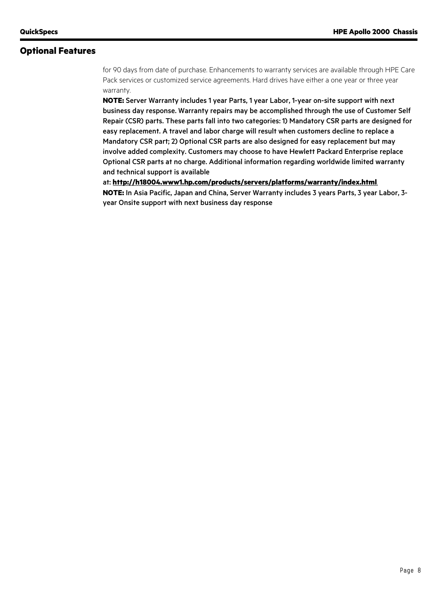## **Optional Features**

for 90 days from date of purchase. Enhancements to warranty services are available through HPE Care Pack services or customized service agreements. Hard drives have either a one year or three year warranty.

**NOTE:** Server Warranty includes 1 year Parts, 1 year Labor, 1-year on-site support with next business day response. Warranty repairs may be accomplished through the use of Customer Self Repair (CSR) parts. These parts fall into two categories: 1) Mandatory CSR parts are designed for easy replacement. A travel and labor charge will result when customers decline to replace a Mandatory CSR part; 2) Optional CSR parts are also designed for easy replacement but may involve added complexity. Customers may choose to have Hewlett Packard Enterprise replace Optional CSR parts at no charge. Additional information regarding worldwide limited warranty and technical support is available

at: **<http://h18004.www1.hp.com/products/servers/platforms/warranty/index.html>**. **NOTE:** In Asia Pacific, Japan and China, Server Warranty includes 3 years Parts, 3 year Labor, 3 year Onsite support with next business day response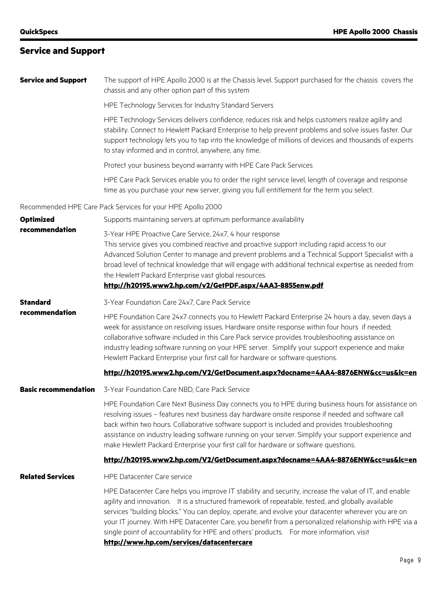# **Service and Support**

| <b>Service and Support</b>        | The support of HPE Apollo 2000 is at the Chassis level. Support purchased for the chassis covers the<br>chassis and any other option part of this system                                                                                                                                                                                                                                                                                                                                                                  |
|-----------------------------------|---------------------------------------------------------------------------------------------------------------------------------------------------------------------------------------------------------------------------------------------------------------------------------------------------------------------------------------------------------------------------------------------------------------------------------------------------------------------------------------------------------------------------|
|                                   | HPE Technology Services for Industry Standard Servers                                                                                                                                                                                                                                                                                                                                                                                                                                                                     |
|                                   | HPE Technology Services delivers confidence, reduces risk and helps customers realize agility and<br>stability. Connect to Hewlett Packard Enterprise to help prevent problems and solve issues faster. Our<br>support technology lets you to tap into the knowledge of millions of devices and thousands of experts<br>to stay informed and in control, anywhere, any time.                                                                                                                                              |
|                                   | Protect your business beyond warranty with HPE Care Pack Services                                                                                                                                                                                                                                                                                                                                                                                                                                                         |
|                                   | HPE Care Pack Services enable you to order the right service level, length of coverage and response<br>time as you purchase your new server, giving you full entitlement for the term you select.                                                                                                                                                                                                                                                                                                                         |
|                                   | Recommended HPE Care Pack Services for your HPE Apollo 2000                                                                                                                                                                                                                                                                                                                                                                                                                                                               |
| <b>Optimized</b>                  | Supports maintaining servers at optimum performance availability                                                                                                                                                                                                                                                                                                                                                                                                                                                          |
| recommendation                    | 3-Year HPE Proactive Care Service, 24x7, 4 hour response<br>This service gives you combined reactive and proactive support including rapid access to our<br>Advanced Solution Center to manage and prevent problems and a Technical Support Specialist with a<br>broad level of technical knowledge that will engage with additional technical expertise as needed from<br>the Hewlett Packard Enterprise vast global resources.<br>http://h20195.www2.hp.com/v2/GetPDF.aspx/4AA3-8855enw.pdf                             |
| <b>Standard</b><br>recommendation | 3-Year Foundation Care 24x7, Care Pack Service                                                                                                                                                                                                                                                                                                                                                                                                                                                                            |
|                                   | HPE Foundation Care 24x7 connects you to Hewlett Packard Enterprise 24 hours a day, seven days a<br>week for assistance on resolving issues. Hardware onsite response within four hours if needed;<br>collaborative software included in this Care Pack service provides troubleshooting assistance on<br>industry leading software running on your HPE server. Simplify your support experience and make<br>Hewlett Packard Enterprise your first call for hardware or software questions.                               |
|                                   | http://h20195.www2.hp.com/V2/GetDocument.aspx?docname=4AA4-8876ENW&cc=us&lc=en                                                                                                                                                                                                                                                                                                                                                                                                                                            |
| <b>Basic recommendation</b>       | 3-Year Foundation Care NBD, Care Pack Service                                                                                                                                                                                                                                                                                                                                                                                                                                                                             |
|                                   | HPE Foundation Care Next Business Day connects you to HPE during business hours for assistance on<br>resolving issues - features next business day hardware onsite response if needed and software call<br>back within two hours. Collaborative software support is included and provides troubleshooting<br>assistance on industry leading software running on your server. Simplify your support experience and<br>make Hewlett Packard Enterprise your first call for hardware or software questions.                  |
|                                   | http://h20195.www2.hp.com/V2/GetDocument.aspx?docname=4AA4-8876ENW&cc=us&lc=en                                                                                                                                                                                                                                                                                                                                                                                                                                            |
| <b>Related Services</b>           | <b>HPE Datacenter Care service</b>                                                                                                                                                                                                                                                                                                                                                                                                                                                                                        |
|                                   | HPE Datacenter Care helps you improve IT stability and security, increase the value of IT, and enable<br>agility and innovation. It is a structured framework of repeatable, tested, and globally available<br>services "building blocks." You can deploy, operate, and evolve your datacenter wherever you are on<br>your IT journey. With HPE Datacenter Care, you benefit from a personalized relationship with HPE via a<br>single point of accountability for HPE and others' products.  For more information, visit |

**http://www.hp.com/services/datacentercare**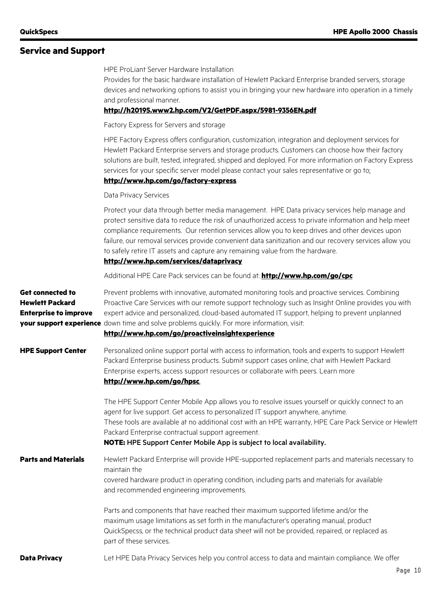# **Service and Support**

|                                                                                   | <b>HPE ProLiant Server Hardware Installation</b><br>Provides for the basic hardware installation of Hewlett Packard Enterprise branded servers, storage<br>devices and networking options to assist you in bringing your new hardware into operation in a timely<br>and professional manner.<br>http://h20195.www2.hp.com/V2/GetPDF.aspx/5981-9356EN.pdf                                                                                                                                                                                      |
|-----------------------------------------------------------------------------------|-----------------------------------------------------------------------------------------------------------------------------------------------------------------------------------------------------------------------------------------------------------------------------------------------------------------------------------------------------------------------------------------------------------------------------------------------------------------------------------------------------------------------------------------------|
|                                                                                   | Factory Express for Servers and storage                                                                                                                                                                                                                                                                                                                                                                                                                                                                                                       |
|                                                                                   | HPE Factory Express offers configuration, customization, integration and deployment services for<br>Hewlett Packard Enterprise servers and storage products. Customers can choose how their factory<br>solutions are built, tested, integrated, shipped and deployed. For more information on Factory Express<br>services for your specific server model please contact your sales representative or go to:<br>http://www.hp.com/go/factory-express.                                                                                          |
|                                                                                   | Data Privacy Services                                                                                                                                                                                                                                                                                                                                                                                                                                                                                                                         |
|                                                                                   | Protect your data through better media management. HPE Data privacy services help manage and<br>protect sensitive data to reduce the risk of unauthorized access to private information and help meet<br>compliance requirements. Our retention services allow you to keep drives and other devices upon<br>failure, our removal services provide convenient data sanitization and our recovery services allow you<br>to safely retire IT assets and capture any remaining value from the hardware.<br>http://www.hp.com/services/dataprivacy |
|                                                                                   | Additional HPE Care Pack services can be found at: http://www.hp.com/go/cpc                                                                                                                                                                                                                                                                                                                                                                                                                                                                   |
| <b>Get connected to</b><br><b>Hewlett Packard</b><br><b>Enterprise to improve</b> | Prevent problems with innovative, automated monitoring tools and proactive services. Combining<br>Proactive Care Services with our remote support technology such as Insight Online provides you with<br>expert advice and personalized, cloud-based automated IT support, helping to prevent unplanned<br>your support experience down time and solve problems quickly. For more information, visit:<br>http://www.hp.com/go/proactiveinsightexperience                                                                                      |
| <b>HPE Support Center</b>                                                         | Personalized online support portal with access to information, tools and experts to support Hewlett<br>Packard Enterprise business products. Submit support cases online, chat with Hewlett Packard<br>Enterprise experts, access support resources or collaborate with peers. Learn more<br>http://www.hp.com/go/hpsc.                                                                                                                                                                                                                       |
|                                                                                   | The HPE Support Center Mobile App allows you to resolve issues yourself or quickly connect to an<br>agent for live support. Get access to personalized IT support anywhere, anytime.<br>These tools are available at no additional cost with an HPE warranty, HPE Care Pack Service or Hewlett<br>Packard Enterprise contractual support agreement.<br>NOTE: HPE Support Center Mobile App is subject to local availability.                                                                                                                  |
| <b>Parts and Materials</b>                                                        | Hewlett Packard Enterprise will provide HPE-supported replacement parts and materials necessary to<br>maintain the<br>covered hardware product in operating condition, including parts and materials for available<br>and recommended engineering improvements.                                                                                                                                                                                                                                                                               |
|                                                                                   | Parts and components that have reached their maximum supported lifetime and/or the<br>maximum usage limitations as set forth in the manufacturer's operating manual, product<br>QuickSpecss, or the technical product data sheet will not be provided, repaired, or replaced as<br>part of these services.                                                                                                                                                                                                                                    |
| <b>Data Privacy</b>                                                               | Let HPE Data Privacy Services help you control access to data and maintain compliance. We offer                                                                                                                                                                                                                                                                                                                                                                                                                                               |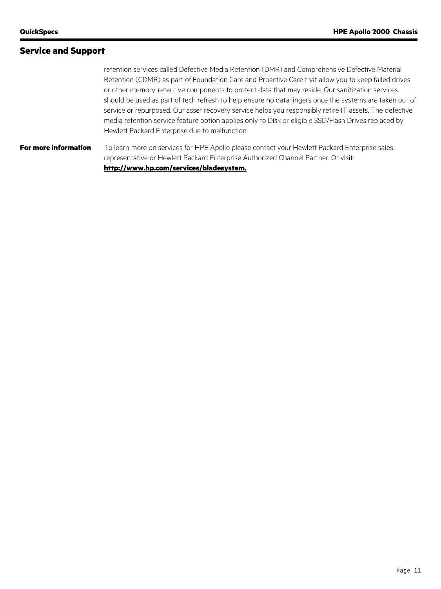## **Service and Support**

retention services called Defective Media Retention (DMR) and Comprehensive Defective Material Retention (CDMR) as part of Foundation Care and Proactive Care that allow you to keep failed drives or other memory-retentive components to protect data that may reside. Our sanitization services should be used as part of tech refresh to help ensure no data lingers once the systems are taken out of service or repurposed. Our asset recovery service helps you responsibly retire IT assets. The defective media retention service feature option applies only to Disk or eligible SSD/Flash Drives replaced by Hewlett Packard Enterprise due to malfunction.

**For more information** To learn more on services for HPE Apollo please contact your Hewlett Packard Enterprise sales representative or Hewlett Packard Enterprise Authorized Channel Partner. Or visit: **http://www.hp.com/services/bladesystem.**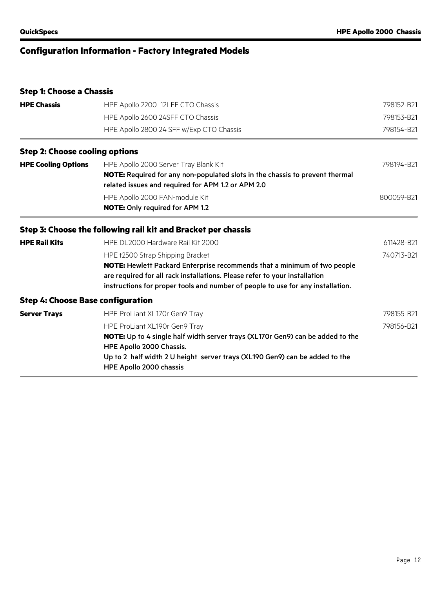# **Configuration Information - Factory Integrated Models**

# **Step 1: Choose a Chassis**

| <b>HPE Chassis</b>                       | HPE Apollo 2200 12LFF CTO Chassis                                                                                                                                                                                                                                             | 798152-B21 |  |
|------------------------------------------|-------------------------------------------------------------------------------------------------------------------------------------------------------------------------------------------------------------------------------------------------------------------------------|------------|--|
|                                          | HPE Apollo 2600 24SFF CTO Chassis                                                                                                                                                                                                                                             | 798153-B21 |  |
|                                          | HPE Apollo 2800 24 SFF w/Exp CTO Chassis                                                                                                                                                                                                                                      | 798154-B21 |  |
| <b>Step 2: Choose cooling options</b>    |                                                                                                                                                                                                                                                                               |            |  |
| <b>HPE Cooling Options</b>               | HPE Apollo 2000 Server Tray Blank Kit<br><b>NOTE:</b> Required for any non-populated slots in the chassis to prevent thermal<br>related issues and required for APM 1.2 or APM 2.0                                                                                            | 798194-B21 |  |
|                                          | HPE Apollo 2000 FAN-module Kit<br><b>NOTE:</b> Only required for APM 1.2                                                                                                                                                                                                      | 800059-B21 |  |
|                                          | Step 3: Choose the following rail kit and Bracket per chassis                                                                                                                                                                                                                 |            |  |
| <b>HPE Rail Kits</b>                     | HPE DL2000 Hardware Rail Kit 2000                                                                                                                                                                                                                                             | 611428-B21 |  |
|                                          | HPE †2500 Strap Shipping Bracket<br>NOTE: Hewlett Packard Enterprise recommends that a minimum of two people<br>are required for all rack installations. Please refer to your installation<br>instructions for proper tools and number of people to use for any installation. | 740713-B21 |  |
| <b>Step 4: Choose Base configuration</b> |                                                                                                                                                                                                                                                                               |            |  |
| <b>Server Trays</b>                      | HPE ProLiant XL170r Gen9 Tray                                                                                                                                                                                                                                                 | 798155-B21 |  |
|                                          | HPE ProLiant XL190r Gen9 Tray<br>NOTE: Up to 4 single half width server trays (XL170r Gen9) can be added to the<br>HPE Apollo 2000 Chassis.<br>Up to 2 half width 2 U height server trays (XL190 Gen9) can be added to the<br>HPE Apollo 2000 chassis                         | 798156-B21 |  |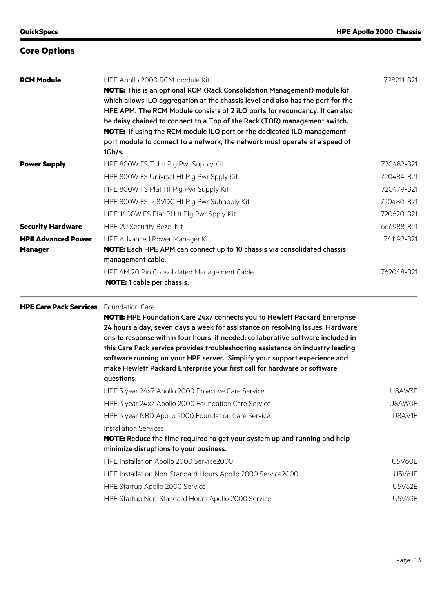| <b>RCM Module</b>         | HPE Apollo 2000 RCM-module Kit<br><b>NOTE:</b> This is an optional RCM (Rack Consolidation Management) module kit<br>which allows iLO aggregation at the chassis level and also has the port for the<br>HPE APM. The RCM Module consists of 2 iLO ports for redundancy. It can also<br>be daisy chained to connect to a Top of the Rack (TOR) management switch.<br><b>NOTE:</b> If using the RCM module iLO port or the dedicated iLO management<br>port module to connect to a network, the network must operate at a speed of<br>1Gb/s. | 798211-B21 |
|---------------------------|--------------------------------------------------------------------------------------------------------------------------------------------------------------------------------------------------------------------------------------------------------------------------------------------------------------------------------------------------------------------------------------------------------------------------------------------------------------------------------------------------------------------------------------------|------------|
| <b>Power Supply</b>       | HPE 800W FS Ti Ht Plg Pwr Supply Kit                                                                                                                                                                                                                                                                                                                                                                                                                                                                                                       | 720482-B21 |
|                           | HPE 800W FS Univrsal Ht Plg Pwr Spply Kit                                                                                                                                                                                                                                                                                                                                                                                                                                                                                                  | 720484-B21 |
|                           | HPE 800W FS Plat Ht Plg Pwr Supply Kit                                                                                                                                                                                                                                                                                                                                                                                                                                                                                                     | 720479-B21 |
|                           | HPE 800W FS-48VDC Ht Plg Pwr Suhhpply Kit                                                                                                                                                                                                                                                                                                                                                                                                                                                                                                  | 720480-B21 |
|                           | HPE 1400W FS Plat PI Ht Plg Pwr Spply Kit                                                                                                                                                                                                                                                                                                                                                                                                                                                                                                  | 720620-B21 |
| <b>Security Hardware</b>  | HPE 2U Security Bezel Kit                                                                                                                                                                                                                                                                                                                                                                                                                                                                                                                  | 666988-B21 |
| <b>HPE Advanced Power</b> | HPE Advanced Power Manager Kit                                                                                                                                                                                                                                                                                                                                                                                                                                                                                                             | 741192-B21 |
| <b>Manager</b>            | <b>NOTE:</b> Each HPE APM can connect up to 10 chassis via consolidated chassis<br>management cable.                                                                                                                                                                                                                                                                                                                                                                                                                                       |            |
|                           | HPE 4M 20 Pin Consolidated Management Cable<br><b>NOTE:</b> 1 cable per chassis.                                                                                                                                                                                                                                                                                                                                                                                                                                                           | 762048-B21 |

#### **HPE Care Pack Services** Foundation Care

**NOTE:** HPE Foundation Care 24x7 connects you to Hewlett Packard Enterprise 24 hours a day, seven days a week for assistance on resolving issues. Hardware onsite response within four hours if needed; collaborative software included in this Care Pack service provides troubleshooting assistance on industry leading software running on your HPE server. Simplify your support experience and make Hewlett Packard Enterprise your first call for hardware or software questions.

| HPE 3 year 24x7 Apollo 2000 Proactive Care Service                               | U8AW3E        |
|----------------------------------------------------------------------------------|---------------|
| HPE 3 year 24x7 Apollo 2000 Foundation Care Service                              | U8AW0E        |
| HPE 3 year NBD Apollo 2000 Foundation Care Service                               | U8AV1E        |
| Installation Services                                                            |               |
| <b>NOTE:</b> Reduce the time required to get your system up and running and help |               |
| minimize disruptions to your business.                                           |               |
| HPE Installation Apollo 2000 Service 2000                                        | <b>U5V60E</b> |
| HPE Installation Non-Standard Hours Apollo 2000 Service2000                      | <b>U5V61E</b> |
| HPE Startup Apollo 2000 Service                                                  | <b>U5V62E</b> |
| HPE Startup Non-Standard Hours Apollo 2000 Service                               | <b>U5V63E</b> |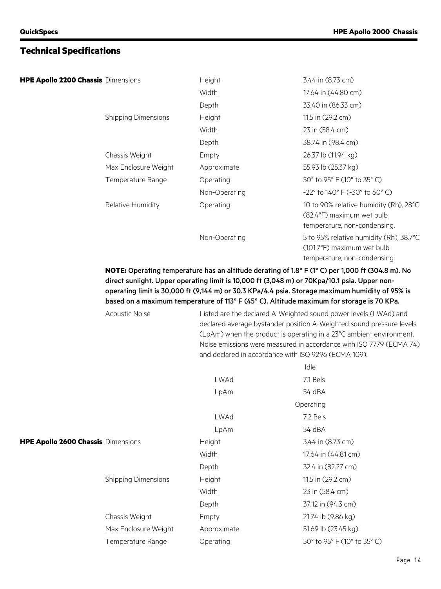## **Technical Specifications**

|  |  |  |  |  | HPE Apollo 2200 Chassis Dimensions |
|--|--|--|--|--|------------------------------------|
|--|--|--|--|--|------------------------------------|

| HPE Apollo 2200 Chassis Dimensions |                            | Height        | 3.44 in (8.73 cm)                                                                                     |
|------------------------------------|----------------------------|---------------|-------------------------------------------------------------------------------------------------------|
|                                    |                            | Width         | 17.64 in (44.80 cm)                                                                                   |
|                                    |                            | Depth         | 33.40 in (86.33 cm)                                                                                   |
|                                    | <b>Shipping Dimensions</b> | Height        | 11.5 in (29.2 cm)                                                                                     |
|                                    |                            | Width         | 23 in (58.4 cm)                                                                                       |
|                                    |                            | Depth         | 38.74 in (98.4 cm)                                                                                    |
|                                    | Chassis Weight             | Empty         | 26.37 lb (11.94 kg)                                                                                   |
|                                    | Max Enclosure Weight       | Approximate   | 55.93 lb (25.37 kg)                                                                                   |
|                                    | Temperature Range          | Operating     | 50° to 95° F (10° to 35° C)                                                                           |
|                                    |                            | Non-Operating | $-22^{\circ}$ to 140° F ( $-30^{\circ}$ to 60° C)                                                     |
|                                    | Relative Humidity          | Operating     | 10 to 90% relative humidity (Rh), 28°C<br>(82.4°F) maximum wet bulb<br>temperature, non-condensing.   |
|                                    |                            | Non-Operating | 5 to 95% relative humidity (Rh), 38.7°C<br>(101.7°F) maximum wet bulb<br>temperature, non-condensing. |

## **NOTE:** Operating temperature has an altitude derating of 1.8° F (1° C) per 1,000 ft (304.8 m). No direct sunlight. Upper operating limit is 10,000 ft (3,048 m) or 70Kpa/10.1 psia. Upper nonoperating limit is 30,000 ft (9,144 m) or 30.3 KPa/4.4 psia. Storage maximum humidity of 95% is based on a maximum temperature of 113° F (45° C). Altitude maximum for storage is 70 KPa.

|                                    | <b>Acoustic Noise</b>      | Listed are the declared A-Weighted sound power levels (LWAd) and<br>declared average bystander position A-Weighted sound pressure levels<br>(LpAm) when the product is operating in a 23°C ambient environment.<br>Noise emissions were measured in accordance with ISO 7779 (ECMA 74)<br>and declared in accordance with ISO 9296 (ECMA 109). |                             |  |
|------------------------------------|----------------------------|------------------------------------------------------------------------------------------------------------------------------------------------------------------------------------------------------------------------------------------------------------------------------------------------------------------------------------------------|-----------------------------|--|
|                                    |                            |                                                                                                                                                                                                                                                                                                                                                | Idle                        |  |
|                                    |                            | LWAd                                                                                                                                                                                                                                                                                                                                           | 7.1 Bels                    |  |
|                                    |                            | LpAm                                                                                                                                                                                                                                                                                                                                           | 54 dBA                      |  |
|                                    |                            |                                                                                                                                                                                                                                                                                                                                                | Operating                   |  |
|                                    |                            | LWAd                                                                                                                                                                                                                                                                                                                                           | 7.2 Bels                    |  |
|                                    |                            | LpAm                                                                                                                                                                                                                                                                                                                                           | 54 dBA                      |  |
| HPE Apollo 2600 Chassis Dimensions |                            | Height                                                                                                                                                                                                                                                                                                                                         | 3.44 in (8.73 cm)           |  |
|                                    |                            | Width                                                                                                                                                                                                                                                                                                                                          | 17.64 in (44.81 cm)         |  |
|                                    |                            | Depth                                                                                                                                                                                                                                                                                                                                          | 32.4 in (82.27 cm)          |  |
|                                    | <b>Shipping Dimensions</b> | Height                                                                                                                                                                                                                                                                                                                                         | 11.5 in (29.2 cm)           |  |
|                                    |                            | Width                                                                                                                                                                                                                                                                                                                                          | 23 in (58.4 cm)             |  |
|                                    |                            | Depth                                                                                                                                                                                                                                                                                                                                          | 37.12 in (94.3 cm)          |  |
|                                    | Chassis Weight             | Empty                                                                                                                                                                                                                                                                                                                                          | 21.74 lb (9.86 kg)          |  |
|                                    | Max Enclosure Weight       | Approximate                                                                                                                                                                                                                                                                                                                                    | 51.69 lb (23.45 kg)         |  |
|                                    | Temperature Range          | Operating                                                                                                                                                                                                                                                                                                                                      | 50° to 95° F (10° to 35° C) |  |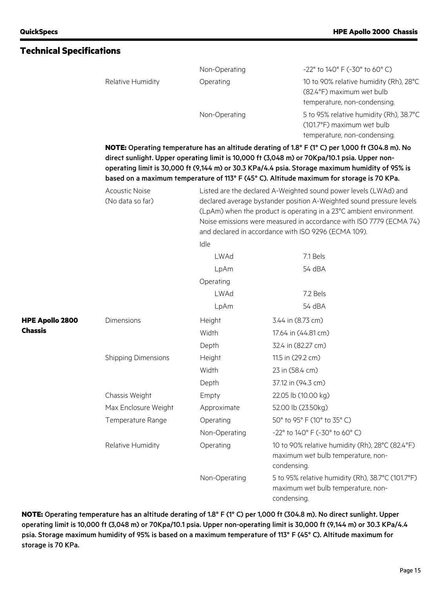|                 |                                           | Non-Operating                                                                                                                                                                                                                                                                                                                                                                                    | $-22^{\circ}$ to 140° F (-30° to 60° C)                                                                |  |  |  |
|-----------------|-------------------------------------------|--------------------------------------------------------------------------------------------------------------------------------------------------------------------------------------------------------------------------------------------------------------------------------------------------------------------------------------------------------------------------------------------------|--------------------------------------------------------------------------------------------------------|--|--|--|
|                 | Relative Humidity                         | Operating                                                                                                                                                                                                                                                                                                                                                                                        | 10 to 90% relative humidity (Rh), 28°C<br>(82.4°F) maximum wet bulb<br>temperature, non-condensing.    |  |  |  |
|                 |                                           | Non-Operating                                                                                                                                                                                                                                                                                                                                                                                    | 5 to 95% relative humidity (Rh), 38.7°C<br>(101.7°F) maximum wet bulb                                  |  |  |  |
|                 |                                           |                                                                                                                                                                                                                                                                                                                                                                                                  | temperature, non-condensing.                                                                           |  |  |  |
|                 |                                           | NOTE: Operating temperature has an altitude derating of 1.8° F (1° C) per 1,000 ft (304.8 m). No<br>direct sunlight. Upper operating limit is 10,000 ft (3,048 m) or 70Kpa/10.1 psia. Upper non-<br>operating limit is 30,000 ft (9,144 m) or 30.3 KPa/4.4 psia. Storage maximum humidity of 95% is<br>based on a maximum temperature of 113° F (45° C). Altitude maximum for storage is 70 KPa. |                                                                                                        |  |  |  |
|                 | <b>Acoustic Noise</b><br>(No data so far) | Listed are the declared A-Weighted sound power levels (LWAd) and<br>declared average bystander position A-Weighted sound pressure levels<br>(LpAm) when the product is operating in a 23°C ambient environment.<br>Noise emissions were measured in accordance with ISO 7779 (ECMA 74)<br>and declared in accordance with ISO 9296 (ECMA 109).                                                   |                                                                                                        |  |  |  |
|                 |                                           | Idle                                                                                                                                                                                                                                                                                                                                                                                             |                                                                                                        |  |  |  |
|                 |                                           | <b>LWAd</b>                                                                                                                                                                                                                                                                                                                                                                                      | 7.1 Bels                                                                                               |  |  |  |
|                 |                                           | LpAm                                                                                                                                                                                                                                                                                                                                                                                             | 54 dBA                                                                                                 |  |  |  |
|                 |                                           | Operating                                                                                                                                                                                                                                                                                                                                                                                        |                                                                                                        |  |  |  |
|                 |                                           | <b>LWAd</b>                                                                                                                                                                                                                                                                                                                                                                                      | 7.2 Bels                                                                                               |  |  |  |
|                 |                                           | LpAm                                                                                                                                                                                                                                                                                                                                                                                             | 54 dBA                                                                                                 |  |  |  |
| HPE Apollo 2800 | Dimensions                                | Height                                                                                                                                                                                                                                                                                                                                                                                           | 3.44 in (8.73 cm)                                                                                      |  |  |  |
| <b>Chassis</b>  |                                           | Width                                                                                                                                                                                                                                                                                                                                                                                            | 17.64 in (44.81 cm)                                                                                    |  |  |  |
|                 |                                           | Depth                                                                                                                                                                                                                                                                                                                                                                                            | 32.4 in (82.27 cm)                                                                                     |  |  |  |
|                 | <b>Shipping Dimensions</b>                | Height                                                                                                                                                                                                                                                                                                                                                                                           | 11.5 in (29.2 cm)                                                                                      |  |  |  |
|                 |                                           | Width                                                                                                                                                                                                                                                                                                                                                                                            | 23 in (58.4 cm)                                                                                        |  |  |  |
|                 |                                           | Depth                                                                                                                                                                                                                                                                                                                                                                                            | 37.12 in (94.3 cm)                                                                                     |  |  |  |
|                 | Chassis Weight                            | Empty                                                                                                                                                                                                                                                                                                                                                                                            | 22.05 lb (10.00 kg)                                                                                    |  |  |  |
|                 | Max Enclosure Weight                      | Approximate                                                                                                                                                                                                                                                                                                                                                                                      | 52.00 lb (23.50kg)                                                                                     |  |  |  |
|                 | Temperature Range                         | Operating                                                                                                                                                                                                                                                                                                                                                                                        | 50° to 95° F (10° to 35° C)                                                                            |  |  |  |
|                 |                                           | Non-Operating                                                                                                                                                                                                                                                                                                                                                                                    | -22° to 140° F (-30° to 60° C)                                                                         |  |  |  |
|                 | Relative Humidity                         | Operating                                                                                                                                                                                                                                                                                                                                                                                        | 10 to 90% relative humidity (Rh), 28°C (82.4°F)<br>maximum wet bulb temperature, non-<br>condensing.   |  |  |  |
|                 |                                           | Non-Operating                                                                                                                                                                                                                                                                                                                                                                                    | 5 to 95% relative humidity (Rh), 38.7°C (101.7°F)<br>maximum wet bulb temperature, non-<br>condensing. |  |  |  |

**NOTE:** Operating temperature has an altitude derating of 1.8° F (1° C) per 1,000 ft (304.8 m). No direct sunlight. Upper operating limit is 10,000 ft (3,048 m) or 70Kpa/10.1 psia. Upper non-operating limit is 30,000 ft (9,144 m) or 30.3 KPa/4.4 psia. Storage maximum humidity of 95% is based on a maximum temperature of 113° F (45° C). Altitude maximum for storage is 70 KPa.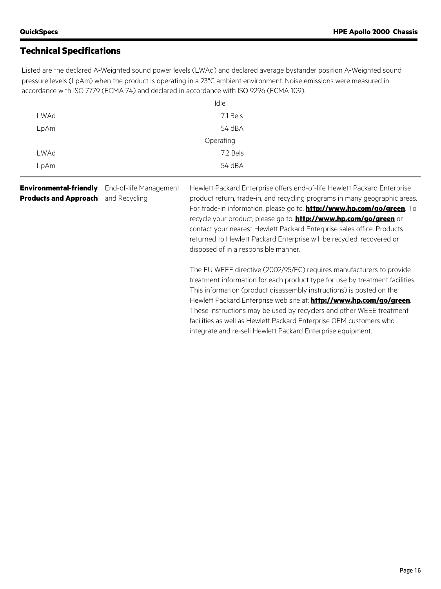# **Technical Specifications**

Listed are the declared A-Weighted sound power levels (LWAd) and declared average bystander position A-Weighted sound pressure levels (LpAm) when the product is operating in a 23°C ambient environment. Noise emissions were measured in accordance with ISO 7779 (ECMA 74) and declared in accordance with ISO 9296 (ECMA 109).

|      | Idle      |
|------|-----------|
| LWAd | 7.1 Bels  |
| LpAm | 54 dBA    |
|      | Operating |
| LWAd | 7.2 Bels  |
| LpAm | 54 dBA    |

| <b>Environmental-friendly</b> | End-of-life Management | Hewlett Packard Enterprise offers end-of-life Hewlett Packard Enterprise       |
|-------------------------------|------------------------|--------------------------------------------------------------------------------|
| <b>Products and Approach</b>  | and Recycling          | product return, trade-in, and recycling programs in many geographic areas.     |
|                               |                        | For trade-in information, please go to: <b>http://www.hp.com/go/green</b> . To |
|                               |                        | recycle your product, please go to: <b>http://www.hp.com/go/green</b> or       |
|                               |                        | contact your nearest Hewlett Packard Enterprise sales office. Products         |
|                               |                        | returned to Hewlett Packard Enterprise will be recycled, recovered or          |
|                               |                        | disposed of in a responsible manner.                                           |
|                               |                        | The EU WEEE directive (2002/95/EC) requires manufacturers to provide           |
|                               |                        | treatment information for each product type for use by treatment facilities.   |
|                               |                        | This information (product disassembly instructions) is posted on the           |
|                               |                        | Hewlett Packard Enterprise web site at: http://www.hp.com/go/green.            |
|                               |                        | These instructions may be used by recyclers and other WEEE treatment           |
|                               |                        | facilities as well as Hewlett Packard Enterprise OEM customers who             |

integrate and re-sell Hewlett Packard Enterprise equipment.